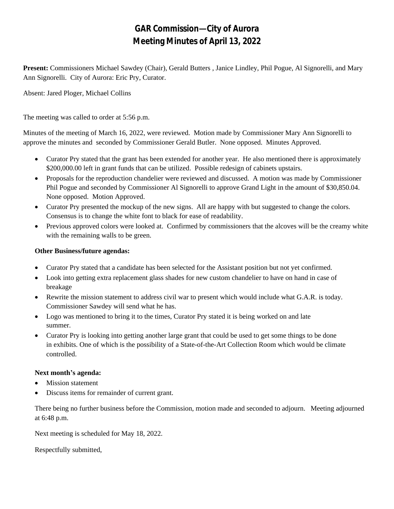## **GAR Commission—City of Aurora Meeting Minutes of April 13, 2022**

**Present:** Commissioners Michael Sawdey (Chair), Gerald Butters , Janice Lindley, Phil Pogue, Al Signorelli, and Mary Ann Signorelli. City of Aurora: Eric Pry, Curator.

Absent: Jared Ploger, Michael Collins

The meeting was called to order at 5:56 p.m.

Minutes of the meeting of March 16, 2022, were reviewed. Motion made by Commissioner Mary Ann Signorelli to approve the minutes and seconded by Commissioner Gerald Butler. None opposed. Minutes Approved.

- Curator Pry stated that the grant has been extended for another year. He also mentioned there is approximately \$200,000.00 left in grant funds that can be utilized. Possible redesign of cabinets upstairs.
- Proposals for the reproduction chandelier were reviewed and discussed. A motion was made by Commissioner Phil Pogue and seconded by Commissioner Al Signorelli to approve Grand Light in the amount of \$30,850.04. None opposed. Motion Approved.
- Curator Pry presented the mockup of the new signs. All are happy with but suggested to change the colors. Consensus is to change the white font to black for ease of readability.
- Previous approved colors were looked at. Confirmed by commissioners that the alcoves will be the creamy white with the remaining walls to be green.

## **Other Business/future agendas:**

- Curator Pry stated that a candidate has been selected for the Assistant position but not yet confirmed.
- Look into getting extra replacement glass shades for new custom chandelier to have on hand in case of breakage
- Rewrite the mission statement to address civil war to present which would include what G.A.R. is today. Commissioner Sawdey will send what he has.
- Logo was mentioned to bring it to the times, Curator Pry stated it is being worked on and late summer.
- Curator Pry is looking into getting another large grant that could be used to get some things to be done in exhibits. One of which is the possibility of a State-of-the-Art Collection Room which would be climate controlled.

## **Next month's agenda:**

- Mission statement
- Discuss items for remainder of current grant.

There being no further business before the Commission, motion made and seconded to adjourn. Meeting adjourned at 6:48 p.m.

Next meeting is scheduled for May 18, 2022.

Respectfully submitted,